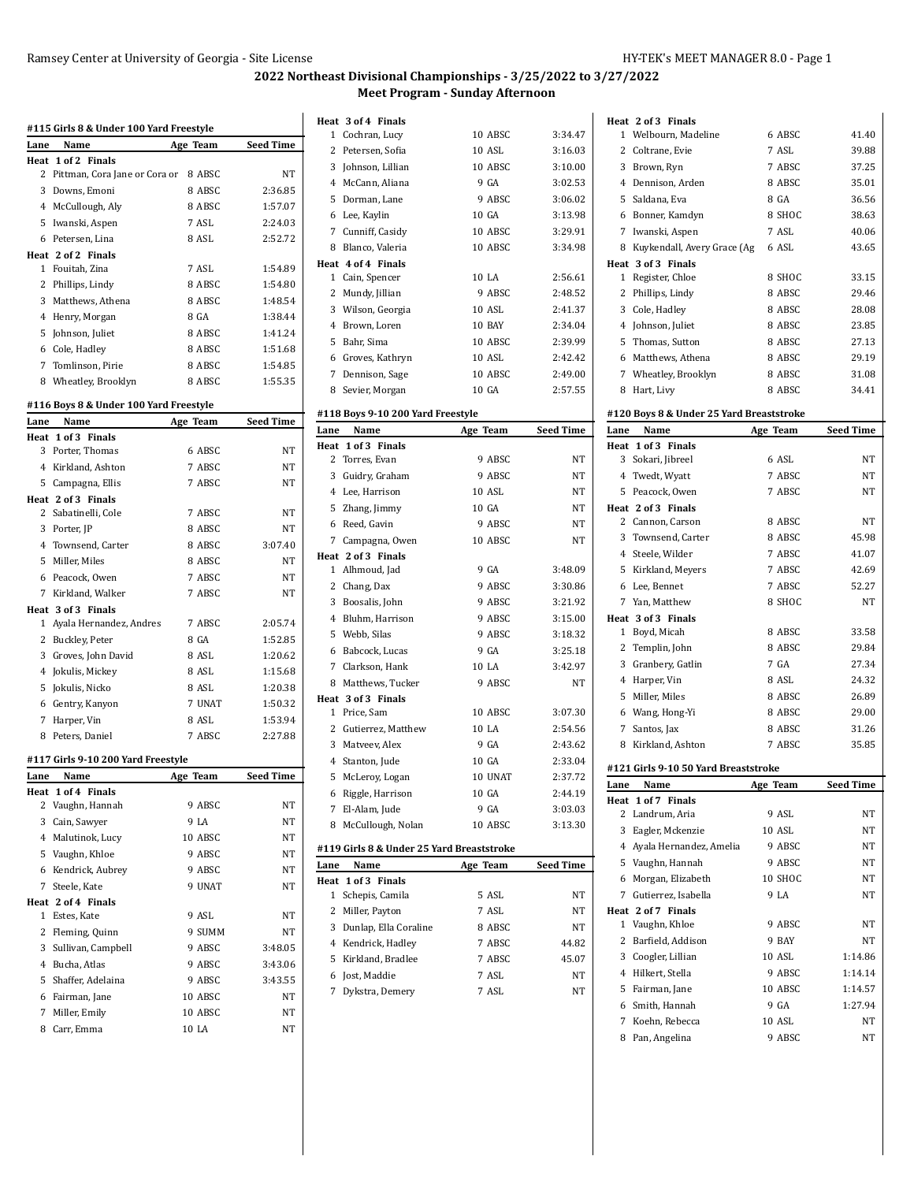Welbourn, Madeline 6 ABSC 41.40 Coltrane, Evie 7 ASL 39.88 Brown, Ryn 7 ABSC 37.25 Dennison, Arden 8 ABSC 35.01 5 Saldana, Eva 8 GA 36.56

**Heat 2 of 3 Finals**

### **2022 Northeast Divisional Championships - 3/25/2022 to 3/27/2022 Meet Program - Sunday Afternoon**

|             | #115 Girls 8 & Under 100 Yard Freestyle               |          |                  |
|-------------|-------------------------------------------------------|----------|------------------|
| Lane        | Name                                                  | Age Team | <b>Seed Time</b> |
|             | Heat 1 of 2 Finals<br>2 Pittman, Cora Jane or Cora or | 8 ABSC   | NT               |
|             | 3 Downs, Emoni                                        | 8 ABSC   | 2:36.85          |
|             | 4 McCullough, Aly                                     | 8 ABSC   | 1:57.07          |
|             | 5 Iwanski, Aspen                                      | 7 ASL    | 2:24.03          |
|             |                                                       | 8 ASL    |                  |
|             | 6 Petersen, Lina                                      |          | 2:52.72          |
|             | Heat 2 of 2 Finals<br>1 Fouitah, Zina                 | 7 ASL    | 1:54.89          |
|             | 2 Phillips, Lindy                                     | 8 ABSC   | 1:54.80          |
|             |                                                       | 8 ABSC   | 1:48.54          |
|             | 3 Matthews, Athena                                    |          |                  |
|             | 4 Henry, Morgan                                       | 8 GA     | 1:38.44          |
|             | 5 Johnson, Juliet                                     | 8 ABSC   | 1:41.24          |
|             | 6 Cole, Hadley                                        | 8 ABSC   | 1:51.68          |
|             | 7 Tomlinson, Pirie                                    | 8 ABSC   | 1:54.85          |
|             | 8 Wheatley, Brooklyn                                  | 8 ABSC   | 1:55.35          |
|             | #116 Boys 8 & Under 100 Yard Freestyle                |          |                  |
| Lane        | Name                                                  | Age Team | <b>Seed Time</b> |
| Heat<br>3   | 1 of 3 Finals<br>Porter, Thomas                       | 6 ABSC   | <b>NT</b>        |
|             |                                                       |          |                  |
|             | 4 Kirkland, Ashton                                    | 7 ABSC   | NT               |
|             | 5 Campagna, Ellis                                     | 7 ABSC   | NT               |
|             | Heat 2 of 3 Finals                                    | 7 ABSC   | NT               |
|             | 2 Sabatinelli, Cole                                   |          |                  |
|             | 3 Porter, JP                                          | 8 ABSC   | NT               |
|             | 4 Townsend, Carter                                    | 8 ABSC   | 3:07.40          |
|             | 5 Miller, Miles                                       | 8 ABSC   | NT               |
|             | 6 Peacock, Owen                                       | 7 ABSC   | NT               |
|             | 7 Kirkland, Walker                                    | 7 ABSC   | NT               |
|             | Heat 3 of 3 Finals                                    |          |                  |
|             | 1 Ayala Hernandez, Andres                             | 7 ABSC   | 2:05.74          |
|             | 2 Buckley, Peter                                      | 8 GA     | 1:52.85          |
|             | 3 Groves, John David                                  | 8 ASL    | 1:20.62          |
|             | 4 Jokulis, Mickey                                     | 8 ASL    | 1:15.68          |
|             | 5 Jokulis, Nicko                                      | 8 ASL    | 1:20.38          |
|             | 6 Gentry, Kanyon                                      | 7 UNAT   | 1:50.32          |
| $7^{\circ}$ | Harper, Vin                                           | 8 ASL    | 1:53.94          |
| 8           | Peters, Daniel                                        | 7 ABSC   | 2:27.88          |
|             | #117 Girls 9-10 200 Yard Freestyle                    |          |                  |
| Lane        | Name                                                  | Age Team | Seed Time        |
| Heat        | 1 of 4 Finals                                         |          |                  |
|             | 2 Vaughn, Hannah                                      | 9 ABSC   | NT               |
|             | 3 Cain, Sawyer                                        | 9 LA     | NΤ               |
|             | 4 Malutinok, Lucy                                     | 10 ABSC  | NΤ               |
|             | 5 Vaughn, Khloe                                       | 9 ABSC   | NT               |
|             | 6 Kendrick, Aubrey                                    | 9 ABSC   | NT               |
|             | 7 Steele, Kate                                        | 9 UNAT   | NΤ               |
|             | Heat 2 of 4 Finals                                    |          |                  |
|             | 1 Estes, Kate                                         | 9 ASL    | NΤ               |
|             | 2 Fleming, Quinn                                      | 9 SUMM   | NΤ               |
|             | 3 Sullivan, Campbell                                  | 9 ABSC   | 3:48.05          |
|             | 4 Bucha, Atlas                                        | 9 ABSC   | 3:43.06          |
|             |                                                       |          |                  |
|             | 5 Shaffer, Adelaina                                   | 9 ABSC   | 3:43.55          |
|             | 6 Fairman, Jane                                       | 10 ABSC  | NT               |
|             | 7 Miller, Emily                                       | 10 ABSC  | NΤ               |

|                | Heat 3 of 4 Finals                |          |                  |
|----------------|-----------------------------------|----------|------------------|
| $\mathbf{1}$   | Cochran, Lucy                     | 10 ABSC  | 3:34.47          |
|                | 2 Petersen, Sofia                 | 10 ASL   | 3:16.03          |
|                | 3 Johnson, Lillian                | 10 ABSC  | 3:10.00          |
|                | 4 McCann, Aliana                  | 9 GA     | 3:02.53          |
| 5              | Dorman, Lane                      | 9 ABSC   | 3:06.02          |
| 6              | Lee, Kaylin                       | 10 GA    | 3:13.98          |
| $7^{\circ}$    | Cunniff, Casidy                   | 10 ABSC  | 3:29.91          |
| 8              | Blanco, Valeria                   | 10 ABSC  | 3:34.98          |
|                | Heat 4 of 4 Finals                |          |                  |
|                | 1 Cain, Spencer                   | 10 LA    | 2:56.61          |
|                | 2 Mundy, Jillian                  | 9 ABSC   | 2:48.52          |
|                | 3 Wilson, Georgia                 | 10 ASL   | 2:41.37          |
| 4              | Brown, Loren                      | 10 BAY   | 2:34.04          |
| 5              | Bahr, Sima                        | 10 ABSC  | 2:39.99          |
|                | 6 Groves, Kathryn                 | 10 ASL   | 2:42.42          |
| $\overline{7}$ | Dennison, Sage                    | 10 ABSC  | 2:49.00          |
|                | 8 Sevier, Morgan                  | 10 GA    | 2:57.55          |
|                | #118 Boys 9-10 200 Yard Freestyle |          |                  |
| Lane           | Name                              | Age Team | <b>Seed Time</b> |
| Heat           | 1 of 3 Finals                     |          |                  |
|                | 2 Torres, Evan                    | 9 ABSC   | NT               |
|                | 3 Guidry, Graham                  | 9 ABSC   | NΤ               |
|                | 4 Lee, Harrison                   | 10 ASL   | NT               |
| 5.             | Zhang, Jimmy                      | 10 GA    | NΤ               |
| 6              | Reed, Gavin                       | 9 ABSC   | NT               |
|                | 7 Campagna, Owen                  | 10 ABSC  | NT               |
|                | Heat 2 of 3 Finals                |          |                  |
|                | 1 Alhmoud, Jad                    | 9 GA     | 3:48.09          |
| $\mathbf{2}$   | Chang, Dax                        | 9 ABSC   | 3:30.86          |
| 3              | Boosalis, John                    | 9 ABSC   | 3:21.92          |
|                | 4 Bluhm, Harrison                 | 9 ABSC   | 3:15.00          |
| 5              | Webb, Silas                       | 9 ABSC   | 3:18.32          |

|      | 6 Lee, Kaylin                             | 10 GA    | 3:13.98   |      | 6 Bonner, Kamdyn                         | 8 SHOC   | 38.63            |
|------|-------------------------------------------|----------|-----------|------|------------------------------------------|----------|------------------|
|      | 7 Cunniff, Casidy                         | 10 ABSC  | 3:29.91   |      | 7 Iwanski, Aspen                         | 7 ASL    | 40.06            |
|      | 8 Blanco, Valeria                         | 10 ABSC  | 3:34.98   |      | 8 Kuykendall, Avery Grace (Ag            | 6 ASL    | 43.65            |
|      | Heat 4 of 4 Finals                        |          |           |      | Heat 3 of 3 Finals                       |          |                  |
|      | 1 Cain, Spencer                           | 10 LA    | 2:56.61   |      | 1 Register, Chloe                        | 8 SHOC   | 33.15            |
|      | 2 Mundy, Jillian                          | 9 ABSC   | 2:48.52   |      | 2 Phillips, Lindy                        | 8 ABSC   | 29.46            |
|      | 3 Wilson, Georgia                         | 10 ASL   | 2:41.37   |      | 3 Cole, Hadley                           | 8 ABSC   | 28.08            |
|      | 4 Brown, Loren                            | 10 BAY   | 2:34.04   |      | 4 Johnson, Juliet                        | 8 ABSC   | 23.85            |
|      | 5 Bahr, Sima                              | 10 ABSC  | 2:39.99   |      | 5 Thomas, Sutton                         | 8 ABSC   | 27.13            |
|      | 6 Groves, Kathryn                         | 10 ASL   | 2:42.42   |      | 6 Matthews, Athena                       | 8 ABSC   | 29.19            |
|      | 7 Dennison, Sage                          | 10 ABSC  | 2:49.00   |      | 7 Wheatley, Brooklyn                     | 8 ABSC   | 31.08            |
|      | 8 Sevier, Morgan                          | 10 GA    | 2:57.55   |      | 8 Hart, Livy                             | 8 ABSC   | 34.41            |
|      | #118 Boys 9-10 200 Yard Freestyle         |          |           |      | #120 Boys 8 & Under 25 Yard Breaststroke |          |                  |
| Lane | Name                                      | Age Team | Seed Time | Lane | Name                                     | Age Team | <b>Seed Time</b> |
|      | Heat 1 of 3 Finals                        |          |           |      | Heat 1 of 3 Finals                       |          |                  |
|      | 2 Torres, Evan                            | 9 ABSC   | NΤ        |      | 3 Sokari, Jibreel                        | 6 ASL    | NΤ               |
|      | 3 Guidry, Graham                          | 9 ABSC   | NΤ        |      | 4 Twedt, Wyatt                           | 7 ABSC   | NΤ               |
|      | 4 Lee, Harrison                           | 10 ASL   | NΤ        |      | 5 Peacock, Owen                          | 7 ABSC   | NΤ               |
|      | 5 Zhang, Jimmy                            | 10 GA    | NΤ        |      | Heat 2 of 3 Finals                       |          |                  |
|      | 6 Reed, Gavin                             | 9 ABSC   | NT        |      | 2 Cannon, Carson                         | 8 ABSC   | NT               |
|      | 7 Campagna, Owen                          |          | NΤ        |      | 3 Townsend, Carter                       | 8 ABSC   | 45.98            |
|      |                                           | 10 ABSC  |           |      | 4 Steele, Wilder                         | 7 ABSC   | 41.07            |
|      | Heat 2 of 3 Finals<br>1 Alhmoud, Jad      | 9 GA     | 3:48.09   |      | 5 Kirkland, Meyers                       | 7 ABSC   | 42.69            |
|      | 2 Chang, Dax                              | 9 ABSC   | 3:30.86   |      | 6 Lee, Bennet                            | 7 ABSC   | 52.27            |
|      | 3 Boosalis, John                          | 9 ABSC   | 3:21.92   |      | 7 Yan, Matthew                           | 8 SHOC   | NT               |
|      | 4 Bluhm, Harrison                         | 9 ABSC   | 3:15.00   |      | Heat 3 of 3 Finals                       |          |                  |
|      | 5 Webb, Silas                             | 9 ABSC   | 3:18.32   |      | 1 Boyd, Micah                            | 8 ABSC   | 33.58            |
|      |                                           |          |           |      | 2 Templin, John                          | 8 ABSC   | 29.84            |
|      | 6 Babcock, Lucas                          | 9 GA     | 3:25.18   |      | 3 Granbery, Gatlin                       | 7 GA     | 27.34            |
|      | 7 Clarkson, Hank                          | 10 LA    | 3:42.97   |      | 4 Harper, Vin                            | 8 ASL    | 24.32            |
|      | 8 Matthews, Tucker                        | 9 ABSC   | NΤ        |      | 5 Miller, Miles                          | 8 ABSC   | 26.89            |
|      | Heat 3 of 3 Finals<br>1 Price, Sam        | 10 ABSC  | 3:07.30   |      | 6 Wang, Hong-Yi                          | 8 ABSC   | 29.00            |
|      | 2 Gutierrez, Matthew                      | 10 LA    | 2:54.56   |      | 7 Santos, Jax                            | 8 ABSC   | 31.26            |
|      | 3 Matveev, Alex                           | 9 GA     | 2:43.62   |      | 8 Kirkland, Ashton                       | 7 ABSC   | 35.85            |
|      |                                           | 10 GA    | 2:33.04   |      |                                          |          |                  |
|      | 4 Stanton, Jude                           | 10 UNAT  |           |      | #121 Girls 9-10 50 Yard Breaststroke     |          |                  |
|      | 5 McLeroy, Logan                          |          | 2:37.72   | Lane | Name                                     | Age Team | <b>Seed Time</b> |
|      | 6 Riggle, Harrison                        | 10 GA    | 2:44.19   |      | Heat 1 of 7 Finals                       |          |                  |
|      | 7 El-Alam, Jude                           | 9 GA     | 3:03.03   |      | 2 Landrum, Aria                          | 9 ASL    | NΤ               |
|      | 8 McCullough, Nolan                       | 10 ABSC  | 3:13.30   | 3    | Eagler, Mckenzie                         | 10 ASL   | NT               |
|      | #119 Girls 8 & Under 25 Yard Breaststroke |          |           |      | 4 Ayala Hernandez, Amelia                | 9 ABSC   | NT               |
| Lane | Name                                      | Age Team | Seed Time |      | 5 Vaughn, Hannah                         | 9 ABSC   | NT               |
|      | Heat 1 of 3 Finals                        |          |           |      | 6 Morgan, Elizabeth                      | 10 SHOC  | NT               |
|      | 1 Schepis, Camila                         | 5 ASL    | NΤ        |      | 7 Gutierrez, Isabella                    | 9 LA     | NΤ               |
|      | 2 Miller, Payton                          | 7 ASL    | NΤ        |      | Heat 2 of 7 Finals                       |          |                  |
|      | 3 Dunlap, Ella Coraline                   | 8 ABSC   | NΤ        |      | 1 Vaughn, Khloe                          | 9 ABSC   | NT               |
|      | 4 Kendrick, Hadley                        | 7 ABSC   | 44.82     |      | 2 Barfield, Addison                      | 9 BAY    | NT               |
|      | 5 Kirkland, Bradlee                       | 7 ABSC   | 45.07     |      | 3 Coogler, Lillian                       | 10 ASL   | 1:14.86          |
|      | 6 Jost, Maddie                            | 7 ASL    | NΤ        |      | 4 Hilkert, Stella                        | 9 ABSC   | 1:14.14          |
|      | 7 Dykstra, Demery                         | 7 ASL    | NΤ        |      | 5 Fairman, Jane                          | 10 ABSC  | 1:14.57          |
|      |                                           |          |           |      | 6 Smith, Hannah                          | 9 GA     | 1:27.94          |
|      |                                           |          |           | 7    | Koehn, Rebecca                           | 10 ASL   | NΤ               |
|      |                                           |          |           |      | 8 Pan, Angelina                          | 9 ABSC   | NΤ               |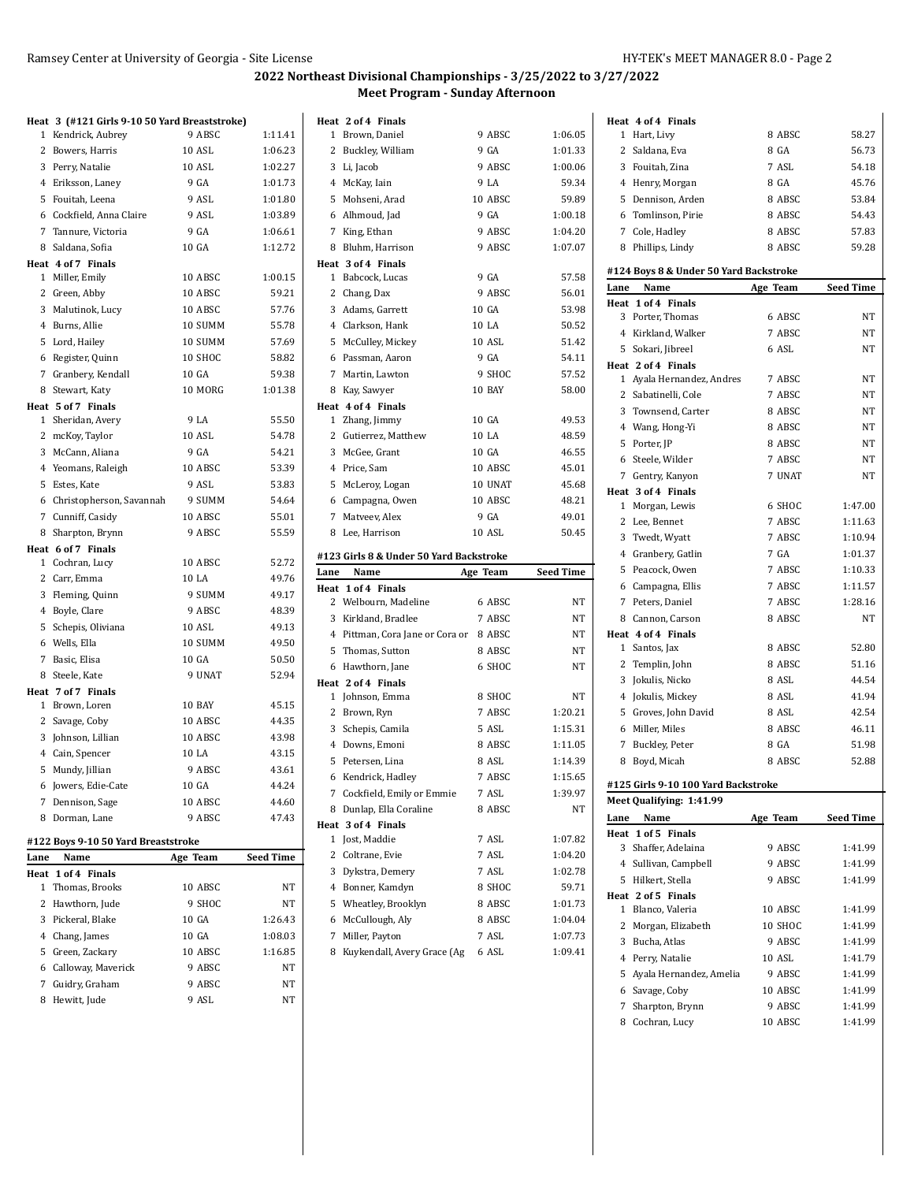## **2022 Northeast Divisional Championships - 3/25/2022 to 3/27/2022 Meet Program - Sunday Afternoon**

|      | Heat 3 (#121 Girls 9-10 50 Yard Breaststroke) |               |           |
|------|-----------------------------------------------|---------------|-----------|
|      | 1 Kendrick, Aubrey                            | 9 ABSC        | 1:11.41   |
|      | 2 Bowers, Harris                              | <b>10 ASL</b> | 1:06.23   |
|      | 3 Perry, Natalie                              | 10 ASL        | 1:02.27   |
|      | 4 Eriksson, Laney                             | 9 GA          | 1:01.73   |
|      | 5 Fouitah, Leena                              | 9 ASL         | 1:01.80   |
|      | 6 Cockfield, Anna Claire                      | 9 ASL         | 1:03.89   |
|      | 7 Tannure, Victoria                           | 9 GA          | 1:06.61   |
|      | 8 Saldana, Sofia                              | 10 GA         | 1:12.72   |
|      | Heat 4 of 7 Finals                            |               |           |
|      | 1 Miller, Emily                               | 10 ABSC       | 1:00.15   |
|      | 2 Green, Abby                                 | 10 ABSC       | 59.21     |
|      | 3 Malutinok, Lucy                             | 10 ABSC       | 57.76     |
|      | 4 Burns, Allie                                | 10 SUMM       | 55.78     |
|      | 5 Lord, Hailey                                | 10 SUMM       | 57.69     |
|      | 6 Register, Quinn                             | 10 SHOC       | 58.82     |
|      | 7 Granbery, Kendall                           | 10 GA         | 59.38     |
|      | 8 Stewart, Katy                               | 10 MORG       | 1:01.38   |
|      | Heat 5 of 7 Finals                            |               |           |
|      | 1 Sheridan, Avery                             | 9 LA          | 55.50     |
|      | 2 mcKoy, Taylor                               | 10 ASL        | 54.78     |
|      | 3 McCann, Aliana                              | 9 GA          | 54.21     |
|      | 4 Yeomans, Raleigh                            | 10 ABSC       | 53.39     |
|      | 5 Estes, Kate                                 | 9 ASL         | 53.83     |
|      | 6 Christopherson, Savannah                    | 9 SUMM        | 54.64     |
|      | 7 Cunniff, Casidy                             | 10 ABSC       | 55.01     |
|      | 8 Sharpton, Brynn                             | 9 ABSC        | 55.59     |
|      | Heat 6 of 7 Finals                            |               |           |
|      | 1 Cochran, Lucy                               | 10 ABSC       | 52.72     |
|      | 2 Carr, Emma                                  | 10 LA         | 49.76     |
|      | 3 Fleming, Quinn                              | 9 SUMM        | 49.17     |
|      | 4 Boyle, Clare                                | 9 ABSC        | 48.39     |
|      | 5 Schepis, Oliviana                           | 10 ASL        | 49.13     |
|      | 6 Wells, Ella                                 | 10 SUMM       | 49.50     |
|      | 7 Basic, Elisa                                | 10 GA         | 50.50     |
|      | 8 Steele, Kate                                | 9 UNAT        | 52.94     |
|      | Heat 7 of 7 Finals                            |               |           |
|      | 1 Brown, Loren                                | 10 BAY        | 45.15     |
|      | 2 Savage, Coby                                | 10 ABSC       | 44.35     |
|      | 3 Johnson, Lillian                            | 10 ABSC       | 43.98     |
|      | 4 Cain, Spencer                               | 10 LA         | 43.15     |
|      | 5 Mundy, Jillian                              | 9 ABSC        | 43.61     |
|      | 6 Jowers, Edie-Cate                           | 10 GA         | 44.24     |
| 7    | Dennison, Sage                                | 10 ABSC       | 44.60     |
| 8    | Dorman, Lane                                  | 9 ABSC        | 47.43     |
|      |                                               |               |           |
| Lane | #122 Boys 9-10 50 Yard Breaststroke<br>Name   | Age Team      | Seed Time |
| Heat | 1 of 4 Finals                                 |               |           |
| 1    | Thomas, Brooks                                | 10 ABSC       | NΤ        |
| 2    | Hawthorn, Jude                                | 9 SHOC        | NΤ        |
|      | 3 Pickeral, Blake                             | 10 GA         | 1:26.43   |
|      | 4 Chang, James                                | 10 GA         | 1:08.03   |
|      | 5 Green, Zackary                              | 10 ABSC       | 1:16.85   |
|      | 6 Calloway, Maverick                          | 9 ABSC        | NΤ        |
| 7    | Guidry, Graham                                | 9 ABSC        | NΤ        |
|      | 8 Hewitt, Jude                                | 9 ASL         | NΤ        |
|      |                                               |               |           |

| Heat 2 of 4 Finals<br>Brown, Daniel<br>9 ABSC<br>1:06.05<br>1<br>9 <sub>GA</sub><br>1:01.33<br>2 Buckley, William<br>9 ABSC<br>1:00.06<br>3 Li, Jacob<br>9 LA<br>59.34<br>4 McKay, Iain<br>10 ABSC<br>59.89<br>5 Mohseni, Arad<br>9 <sub>GA</sub><br>6 Alhmoud, Jad<br>1:00.18<br>7 King, Ethan<br>9 ABSC<br>1:04.20<br>9 ABSC<br>1:07.07<br>8 Bluhm, Harrison<br>Heat 3 of 4 Finals<br>9 GA<br>1 Babcock, Lucas<br>57.58<br>9 ABSC<br>56.01<br>2 Chang, Dax<br>3 Adams, Garrett<br>10 GA<br>53.98<br>4 Clarkson, Hank<br>50.52<br>10 LA<br>10 ASL<br>5 McCulley, Mickey<br>51.42<br>9 GA<br>54.11<br>6 Passman, Aaron<br>7 Martin, Lawton<br>9 SHOC<br>57.52<br>10 BAY<br>8 Kay, Sawyer<br>58.00<br>Heat 4 of 4 Finals<br>10 GA<br>1 Zhang, Jimmy<br>49.53<br>10 LA<br>2 Gutierrez, Matthew<br>48.59<br>3 McGee, Grant<br>10 GA<br>46.55<br>10 ABSC<br>45.01<br>4 Price, Sam<br>45.68<br>5 McLeroy, Logan<br>10 UNAT<br>10 ABSC<br>48.21<br>6 Campagna, Owen<br>7 Matveev, Alex<br>9 GA<br>49.01<br>50.45<br>8 Lee, Harrison<br>10 ASL<br>#123 Girls 8 & Under 50 Yard Backstroke<br>Name<br><b>Seed Time</b><br>Lane<br>Age Team<br>Heat 1 of 4 Finals<br>2 Welbourn, Madeline<br>6 ABSC<br>NΤ<br>3 Kirkland, Bradlee<br>7 ABSC<br>NT<br>4 Pittman, Cora Jane or Cora or 8 ABSC<br>NΤ<br>8 ABSC<br>5<br>Thomas, Sutton<br><b>NT</b><br>6 SHOC<br>6 Hawthorn, Jane<br>NΤ |
|---------------------------------------------------------------------------------------------------------------------------------------------------------------------------------------------------------------------------------------------------------------------------------------------------------------------------------------------------------------------------------------------------------------------------------------------------------------------------------------------------------------------------------------------------------------------------------------------------------------------------------------------------------------------------------------------------------------------------------------------------------------------------------------------------------------------------------------------------------------------------------------------------------------------------------------------------------------------------------------------------------------------------------------------------------------------------------------------------------------------------------------------------------------------------------------------------------------------------------------------------------------------------------------------------------------------------------------------------------------------------|
|                                                                                                                                                                                                                                                                                                                                                                                                                                                                                                                                                                                                                                                                                                                                                                                                                                                                                                                                                                                                                                                                                                                                                                                                                                                                                                                                                                           |
|                                                                                                                                                                                                                                                                                                                                                                                                                                                                                                                                                                                                                                                                                                                                                                                                                                                                                                                                                                                                                                                                                                                                                                                                                                                                                                                                                                           |
|                                                                                                                                                                                                                                                                                                                                                                                                                                                                                                                                                                                                                                                                                                                                                                                                                                                                                                                                                                                                                                                                                                                                                                                                                                                                                                                                                                           |
|                                                                                                                                                                                                                                                                                                                                                                                                                                                                                                                                                                                                                                                                                                                                                                                                                                                                                                                                                                                                                                                                                                                                                                                                                                                                                                                                                                           |
|                                                                                                                                                                                                                                                                                                                                                                                                                                                                                                                                                                                                                                                                                                                                                                                                                                                                                                                                                                                                                                                                                                                                                                                                                                                                                                                                                                           |
|                                                                                                                                                                                                                                                                                                                                                                                                                                                                                                                                                                                                                                                                                                                                                                                                                                                                                                                                                                                                                                                                                                                                                                                                                                                                                                                                                                           |
|                                                                                                                                                                                                                                                                                                                                                                                                                                                                                                                                                                                                                                                                                                                                                                                                                                                                                                                                                                                                                                                                                                                                                                                                                                                                                                                                                                           |
|                                                                                                                                                                                                                                                                                                                                                                                                                                                                                                                                                                                                                                                                                                                                                                                                                                                                                                                                                                                                                                                                                                                                                                                                                                                                                                                                                                           |
|                                                                                                                                                                                                                                                                                                                                                                                                                                                                                                                                                                                                                                                                                                                                                                                                                                                                                                                                                                                                                                                                                                                                                                                                                                                                                                                                                                           |
|                                                                                                                                                                                                                                                                                                                                                                                                                                                                                                                                                                                                                                                                                                                                                                                                                                                                                                                                                                                                                                                                                                                                                                                                                                                                                                                                                                           |
|                                                                                                                                                                                                                                                                                                                                                                                                                                                                                                                                                                                                                                                                                                                                                                                                                                                                                                                                                                                                                                                                                                                                                                                                                                                                                                                                                                           |
|                                                                                                                                                                                                                                                                                                                                                                                                                                                                                                                                                                                                                                                                                                                                                                                                                                                                                                                                                                                                                                                                                                                                                                                                                                                                                                                                                                           |
|                                                                                                                                                                                                                                                                                                                                                                                                                                                                                                                                                                                                                                                                                                                                                                                                                                                                                                                                                                                                                                                                                                                                                                                                                                                                                                                                                                           |
|                                                                                                                                                                                                                                                                                                                                                                                                                                                                                                                                                                                                                                                                                                                                                                                                                                                                                                                                                                                                                                                                                                                                                                                                                                                                                                                                                                           |
|                                                                                                                                                                                                                                                                                                                                                                                                                                                                                                                                                                                                                                                                                                                                                                                                                                                                                                                                                                                                                                                                                                                                                                                                                                                                                                                                                                           |
|                                                                                                                                                                                                                                                                                                                                                                                                                                                                                                                                                                                                                                                                                                                                                                                                                                                                                                                                                                                                                                                                                                                                                                                                                                                                                                                                                                           |
|                                                                                                                                                                                                                                                                                                                                                                                                                                                                                                                                                                                                                                                                                                                                                                                                                                                                                                                                                                                                                                                                                                                                                                                                                                                                                                                                                                           |
|                                                                                                                                                                                                                                                                                                                                                                                                                                                                                                                                                                                                                                                                                                                                                                                                                                                                                                                                                                                                                                                                                                                                                                                                                                                                                                                                                                           |
|                                                                                                                                                                                                                                                                                                                                                                                                                                                                                                                                                                                                                                                                                                                                                                                                                                                                                                                                                                                                                                                                                                                                                                                                                                                                                                                                                                           |
|                                                                                                                                                                                                                                                                                                                                                                                                                                                                                                                                                                                                                                                                                                                                                                                                                                                                                                                                                                                                                                                                                                                                                                                                                                                                                                                                                                           |
|                                                                                                                                                                                                                                                                                                                                                                                                                                                                                                                                                                                                                                                                                                                                                                                                                                                                                                                                                                                                                                                                                                                                                                                                                                                                                                                                                                           |
|                                                                                                                                                                                                                                                                                                                                                                                                                                                                                                                                                                                                                                                                                                                                                                                                                                                                                                                                                                                                                                                                                                                                                                                                                                                                                                                                                                           |
|                                                                                                                                                                                                                                                                                                                                                                                                                                                                                                                                                                                                                                                                                                                                                                                                                                                                                                                                                                                                                                                                                                                                                                                                                                                                                                                                                                           |
|                                                                                                                                                                                                                                                                                                                                                                                                                                                                                                                                                                                                                                                                                                                                                                                                                                                                                                                                                                                                                                                                                                                                                                                                                                                                                                                                                                           |
|                                                                                                                                                                                                                                                                                                                                                                                                                                                                                                                                                                                                                                                                                                                                                                                                                                                                                                                                                                                                                                                                                                                                                                                                                                                                                                                                                                           |
|                                                                                                                                                                                                                                                                                                                                                                                                                                                                                                                                                                                                                                                                                                                                                                                                                                                                                                                                                                                                                                                                                                                                                                                                                                                                                                                                                                           |
|                                                                                                                                                                                                                                                                                                                                                                                                                                                                                                                                                                                                                                                                                                                                                                                                                                                                                                                                                                                                                                                                                                                                                                                                                                                                                                                                                                           |
|                                                                                                                                                                                                                                                                                                                                                                                                                                                                                                                                                                                                                                                                                                                                                                                                                                                                                                                                                                                                                                                                                                                                                                                                                                                                                                                                                                           |
|                                                                                                                                                                                                                                                                                                                                                                                                                                                                                                                                                                                                                                                                                                                                                                                                                                                                                                                                                                                                                                                                                                                                                                                                                                                                                                                                                                           |
|                                                                                                                                                                                                                                                                                                                                                                                                                                                                                                                                                                                                                                                                                                                                                                                                                                                                                                                                                                                                                                                                                                                                                                                                                                                                                                                                                                           |
|                                                                                                                                                                                                                                                                                                                                                                                                                                                                                                                                                                                                                                                                                                                                                                                                                                                                                                                                                                                                                                                                                                                                                                                                                                                                                                                                                                           |
|                                                                                                                                                                                                                                                                                                                                                                                                                                                                                                                                                                                                                                                                                                                                                                                                                                                                                                                                                                                                                                                                                                                                                                                                                                                                                                                                                                           |
|                                                                                                                                                                                                                                                                                                                                                                                                                                                                                                                                                                                                                                                                                                                                                                                                                                                                                                                                                                                                                                                                                                                                                                                                                                                                                                                                                                           |
|                                                                                                                                                                                                                                                                                                                                                                                                                                                                                                                                                                                                                                                                                                                                                                                                                                                                                                                                                                                                                                                                                                                                                                                                                                                                                                                                                                           |
|                                                                                                                                                                                                                                                                                                                                                                                                                                                                                                                                                                                                                                                                                                                                                                                                                                                                                                                                                                                                                                                                                                                                                                                                                                                                                                                                                                           |
| Heat 2 of 4 Finals                                                                                                                                                                                                                                                                                                                                                                                                                                                                                                                                                                                                                                                                                                                                                                                                                                                                                                                                                                                                                                                                                                                                                                                                                                                                                                                                                        |
| 1 Johnson, Emma<br>8 SHOC<br>NT                                                                                                                                                                                                                                                                                                                                                                                                                                                                                                                                                                                                                                                                                                                                                                                                                                                                                                                                                                                                                                                                                                                                                                                                                                                                                                                                           |
| 2 Brown, Ryn<br>7 ABSC<br>1:20.21                                                                                                                                                                                                                                                                                                                                                                                                                                                                                                                                                                                                                                                                                                                                                                                                                                                                                                                                                                                                                                                                                                                                                                                                                                                                                                                                         |
| 5 ASL<br>3 Schepis, Camila<br>1:15.31                                                                                                                                                                                                                                                                                                                                                                                                                                                                                                                                                                                                                                                                                                                                                                                                                                                                                                                                                                                                                                                                                                                                                                                                                                                                                                                                     |
| 8 ABSC<br>4 Downs, Emoni<br>1:11.05                                                                                                                                                                                                                                                                                                                                                                                                                                                                                                                                                                                                                                                                                                                                                                                                                                                                                                                                                                                                                                                                                                                                                                                                                                                                                                                                       |
| 8 ASL<br>1:14.39<br>5 Petersen, Lina                                                                                                                                                                                                                                                                                                                                                                                                                                                                                                                                                                                                                                                                                                                                                                                                                                                                                                                                                                                                                                                                                                                                                                                                                                                                                                                                      |
| 7 ABSC<br>6 Kendrick, Hadley<br>1:15.65                                                                                                                                                                                                                                                                                                                                                                                                                                                                                                                                                                                                                                                                                                                                                                                                                                                                                                                                                                                                                                                                                                                                                                                                                                                                                                                                   |
| 7 Cockfield, Emily or Emmie<br>7 ASL<br>1:39.97                                                                                                                                                                                                                                                                                                                                                                                                                                                                                                                                                                                                                                                                                                                                                                                                                                                                                                                                                                                                                                                                                                                                                                                                                                                                                                                           |
| Dunlap, Ella Coraline<br>8 ABSC<br>8<br>NΤ                                                                                                                                                                                                                                                                                                                                                                                                                                                                                                                                                                                                                                                                                                                                                                                                                                                                                                                                                                                                                                                                                                                                                                                                                                                                                                                                |
| Heat 3 of 4 Finals                                                                                                                                                                                                                                                                                                                                                                                                                                                                                                                                                                                                                                                                                                                                                                                                                                                                                                                                                                                                                                                                                                                                                                                                                                                                                                                                                        |
| 7 ASL<br>1 Jost, Maddie<br>1:07.82                                                                                                                                                                                                                                                                                                                                                                                                                                                                                                                                                                                                                                                                                                                                                                                                                                                                                                                                                                                                                                                                                                                                                                                                                                                                                                                                        |
| 7 ASL<br>2<br>Coltrane, Evie<br>1:04.20                                                                                                                                                                                                                                                                                                                                                                                                                                                                                                                                                                                                                                                                                                                                                                                                                                                                                                                                                                                                                                                                                                                                                                                                                                                                                                                                   |
|                                                                                                                                                                                                                                                                                                                                                                                                                                                                                                                                                                                                                                                                                                                                                                                                                                                                                                                                                                                                                                                                                                                                                                                                                                                                                                                                                                           |
| 7 ASL<br>3<br>Dykstra, Demery<br>1:02.78                                                                                                                                                                                                                                                                                                                                                                                                                                                                                                                                                                                                                                                                                                                                                                                                                                                                                                                                                                                                                                                                                                                                                                                                                                                                                                                                  |
| 4 Bonner, Kamdyn<br>8 SHOC<br>59.71                                                                                                                                                                                                                                                                                                                                                                                                                                                                                                                                                                                                                                                                                                                                                                                                                                                                                                                                                                                                                                                                                                                                                                                                                                                                                                                                       |
| 5 Wheatley, Brooklyn<br>8 ABSC<br>1:01.73                                                                                                                                                                                                                                                                                                                                                                                                                                                                                                                                                                                                                                                                                                                                                                                                                                                                                                                                                                                                                                                                                                                                                                                                                                                                                                                                 |
| 6 McCullough, Aly<br>8 ABSC<br>1:04.04                                                                                                                                                                                                                                                                                                                                                                                                                                                                                                                                                                                                                                                                                                                                                                                                                                                                                                                                                                                                                                                                                                                                                                                                                                                                                                                                    |
| Miller, Payton<br>7<br>7 ASL<br>1:07.73                                                                                                                                                                                                                                                                                                                                                                                                                                                                                                                                                                                                                                                                                                                                                                                                                                                                                                                                                                                                                                                                                                                                                                                                                                                                                                                                   |

|                                        | Heat 4 of 4 Finals                  |          |                  |  |  |  |  |
|----------------------------------------|-------------------------------------|----------|------------------|--|--|--|--|
|                                        | 1 Hart, Livy                        | 8 ABSC   | 58.27            |  |  |  |  |
|                                        | 2 Saldana, Eva                      | 8 GA     | 56.73            |  |  |  |  |
|                                        | 3 Fouitah, Zina                     | 7 ASL    | 54.18            |  |  |  |  |
|                                        | 4 Henry, Morgan                     | 8 GA     | 45.76            |  |  |  |  |
|                                        | 5 Dennison, Arden                   | 8 ABSC   | 53.84            |  |  |  |  |
|                                        | 6 Tomlinson, Pirie                  | 8 ABSC   | 54.43            |  |  |  |  |
|                                        | 7 Cole, Hadley                      | 8 ABSC   | 57.83            |  |  |  |  |
|                                        | 8 Phillips, Lindy                   | 8 ABSC   | 59.28            |  |  |  |  |
| #124 Boys 8 & Under 50 Yard Backstroke |                                     |          |                  |  |  |  |  |
| Lane                                   | Name                                | Age Team | <b>Seed Time</b> |  |  |  |  |
|                                        | Heat 1 of 4 Finals                  |          |                  |  |  |  |  |
|                                        | 3 Porter, Thomas                    | 6 ABSC   | NΤ               |  |  |  |  |
|                                        | 4 Kirkland, Walker                  | 7 ABSC   | NΤ               |  |  |  |  |
|                                        | 5 Sokari, Jibreel                   | 6 ASL    | NT               |  |  |  |  |
|                                        | Heat 2 of 4 Finals                  |          |                  |  |  |  |  |
|                                        | 1 Ayala Hernandez, Andres           | 7 ABSC   | NΤ               |  |  |  |  |
|                                        | 2 Sabatinelli, Cole                 | 7 ABSC   | NΤ               |  |  |  |  |
|                                        | 3 Townsend, Carter                  | 8 ABSC   | NΤ               |  |  |  |  |
|                                        | 4 Wang, Hong-Yi                     | 8 ABSC   | NΤ               |  |  |  |  |
|                                        | 5 Porter, JP                        | 8 ABSC   | NT               |  |  |  |  |
|                                        | 6 Steele, Wilder                    | 7 ABSC   | NT               |  |  |  |  |
|                                        | 7 Gentry, Kanyon                    | 7 UNAT   | NΤ               |  |  |  |  |
|                                        | Heat 3 of 4 Finals                  |          |                  |  |  |  |  |
|                                        | 1 Morgan, Lewis                     | 6 SHOC   | 1:47.00          |  |  |  |  |
|                                        | 2 Lee, Bennet                       | 7 ABSC   | 1:11.63          |  |  |  |  |
|                                        | 3 Twedt, Wyatt                      | 7 ABSC   | 1:10.94          |  |  |  |  |
|                                        |                                     | 7 GA     | 1:01.37          |  |  |  |  |
|                                        | 4 Granbery, Gatlin                  | 7 ABSC   |                  |  |  |  |  |
|                                        | 5 Peacock, Owen                     |          | 1:10.33          |  |  |  |  |
|                                        |                                     |          |                  |  |  |  |  |
|                                        | 6 Campagna, Ellis                   | 7 ABSC   | 1:11.57          |  |  |  |  |
|                                        | 7 Peters, Daniel                    | 7 ABSC   | 1:28.16          |  |  |  |  |
|                                        | 8 Cannon, Carson                    | 8 ABSC   | NT               |  |  |  |  |
|                                        | Heat 4 of 4 Finals                  |          |                  |  |  |  |  |
| 1                                      | Santos, Jax                         | 8 ABSC   | 52.80            |  |  |  |  |
|                                        | 2 Templin, John                     | 8 ABSC   | 51.16            |  |  |  |  |
|                                        | 3 Jokulis, Nicko                    | 8 ASL    | 44.54            |  |  |  |  |
|                                        | 4 Jokulis, Mickey                   | 8 ASL    | 41.94            |  |  |  |  |
|                                        | 5 Groves, John David                | 8 ASL    | 42.54            |  |  |  |  |
|                                        | 6 Miller, Miles                     | 8 ABSC   | 46.11            |  |  |  |  |
|                                        | 7 Buckley, Peter                    | 8 GA     | 51.98            |  |  |  |  |
|                                        | 8 Boyd, Micah                       | 8 ABSC   | 52.88            |  |  |  |  |
|                                        | #125 Girls 9-10 100 Yard Backstroke |          |                  |  |  |  |  |
|                                        | Meet Qualifying: 1:41.99            |          |                  |  |  |  |  |
| Lane                                   | Name                                | Age Team | <b>Seed Time</b> |  |  |  |  |
|                                        | Heat 1 of 5 Finals                  |          |                  |  |  |  |  |
|                                        | 3 Shaffer, Adelaina                 | 9 ABSC   | 1:41.99          |  |  |  |  |
|                                        | 4 Sullivan, Campbell                | 9 ABSC   | 1:41.99          |  |  |  |  |
|                                        | 5 Hilkert, Stella                   | 9 ABSC   | 1:41.99          |  |  |  |  |
|                                        | Heat 2 of 5 Finals                  |          |                  |  |  |  |  |
|                                        | 1 Blanco, Valeria                   | 10 ABSC  | 1:41.99          |  |  |  |  |
|                                        | 2 Morgan, Elizabeth                 | 10 SHOC  | 1:41.99          |  |  |  |  |
|                                        | 3 Bucha, Atlas                      | 9 ABSC   | 1:41.99          |  |  |  |  |
|                                        | 4 Perry, Natalie                    | 10 ASL   | 1:41.79          |  |  |  |  |
|                                        | 5 Ayala Hernandez, Amelia           | 9 ABSC   | 1:41.99          |  |  |  |  |
|                                        | 6 Savage, Coby                      | 10 ABSC  | 1:41.99          |  |  |  |  |
| 7                                      | Sharpton, Brynn                     | 9 ABSC   | 1:41.99          |  |  |  |  |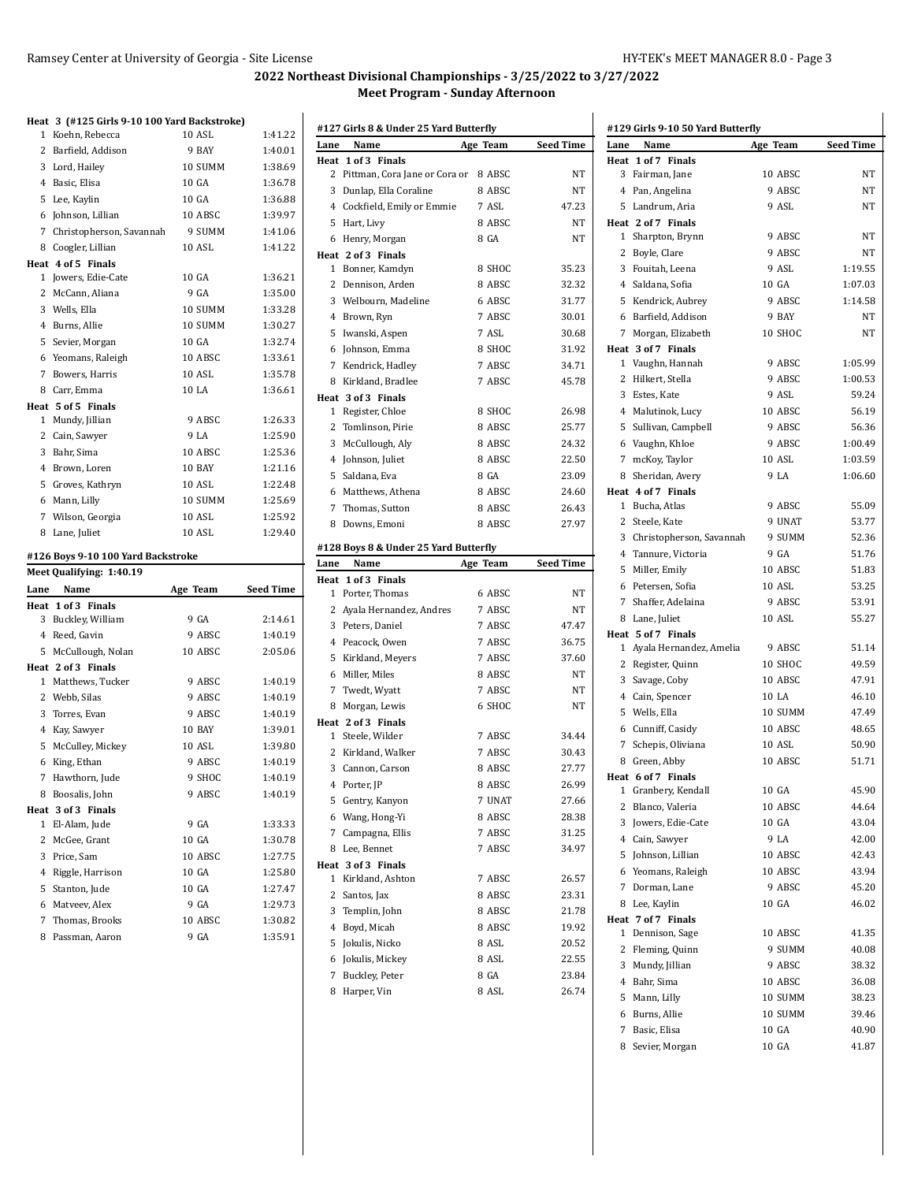$\mathbf{I}$ 

## **2022 Northeast Divisional Championships - 3/25/2022 to 3/27/2022 Meet Program - Sunday Afternoon**

# **Heat 3 (#125 Girls 9-10 100 Yard Backstroke)**

| 1    | Koehn, Rebecca                     | 10 ASL   | 1:41.22          |
|------|------------------------------------|----------|------------------|
|      | 2 Barfield, Addison                | 9 BAY    | 1:40.01          |
|      | 3 Lord, Hailey                     | 10 SUMM  | 1:38.69          |
|      | 4 Basic, Elisa                     | 10 GA    | 1:36.78          |
|      | 5 Lee, Kaylin                      | 10 GA    | 1:36.88          |
|      | 6 Johnson, Lillian                 | 10 ABSC  | 1:39.97          |
|      | 7 Christopherson, Savannah         | 9 SUMM   | 1:41.06          |
| 8    | Coogler, Lillian                   | 10 ASL   | 1:41.22          |
|      | Heat 4 of 5 Finals                 |          |                  |
|      | 1 Jowers, Edie-Cate                | 10 GA    | 1:36.21          |
|      | 2 McCann, Aliana                   | 9 GA     | 1:35.00          |
|      | 3 Wells, Ella                      | 10 SUMM  | 1:33.28          |
|      | 4 Burns, Allie                     | 10 SUMM  | 1:30.27          |
| 5    | Sevier, Morgan                     | 10 GA    | 1:32.74          |
|      | 6 Yeomans, Raleigh                 | 10 ABSC  | 1:33.61          |
|      | 7 Bowers, Harris                   | 10 ASL   | 1:35.78          |
|      | 8 Carr, Emma                       | 10 LA    | 1:36.61          |
|      | Heat 5 of 5 Finals                 |          |                  |
|      | 1 Mundy, Jillian                   | 9 ABSC   | 1:26.33          |
|      | 2 Cain, Sawyer                     | 9 LA     | 1:25.90          |
|      | 3 Bahr, Sima                       | 10 ABSC  | 1:25.36          |
|      | 4 Brown, Loren                     | 10 BAY   | 1:21.16          |
|      | 5 Groves, Kathryn                  | 10 ASL   | 1:22.48          |
|      | 6 Mann, Lilly                      | 10 SUMM  | 1:25.69          |
|      | 7 Wilson, Georgia                  | 10 ASL   | 1:25.92          |
|      | 8 Lane, Juliet                     | 10 ASL   | 1:29.40          |
|      | #126 Boys 9-10 100 Yard Backstroke |          |                  |
|      | Meet Qualifying: 1:40.19           |          |                  |
| Lane | Name                               | Age Team | <b>Seed Time</b> |
|      | Heat 1 of 3 Finals                 |          |                  |
|      | 3 Buckley, William                 | 9 GA     | 2:14.61          |
|      | 4 Reed, Gavin                      | 9 ABSC   | 1:40.19          |
| 5    | McCullough, Nolan                  | 10 ABSC  | 2:05.06          |

 Matthews, Tucker 9 ABSC 1:40.19 Webb, Silas 9 ABSC 1:40.19 Torres, Evan 9 ABSC 1:40.19 Kay, Sawyer 10 BAY 1:39.01 McCulley, Mickey 10 ASL 1:39.80 King, Ethan 9 ABSC 1:40.19 Hawthorn, Jude 9 SHOC 1:40.19 Boosalis, John 9 ABSC 1:40.19

 El-Alam, Jude 9 GA 1:33.33 2 McGee, Grant 10 GA 1:30.78 Price, Sam 10 ABSC 1:27.75 Riggle, Harrison 10 GA 1:25.80 Stanton, Jude 10 GA 1:27.47 Matveev, Alex 9 GA 1:29.73 Thomas, Brooks 10 ABSC 1:30.82 Passman, Aaron 9 GA 1:35.91

**Heat 2 of 3 Finals**

**Heat 3 of 3 Finals**

|                | #127 Girls 8 & Under 25 Yard Butterfly |               |                  |
|----------------|----------------------------------------|---------------|------------------|
| Lane           | Name                                   | Age Team      | <b>Seed Time</b> |
| Heat           | 1 of 3 Finals                          |               |                  |
| 2              | Pittman, Cora Jane or Cora or          | 8 ABSC        | NT               |
| 3              | Dunlap, Ella Coraline                  | 8 ABSC        | NT               |
|                | 4 Cockfield, Emily or Emmie            | 7 ASL         | 47.23            |
| 5              | Hart, Livy                             | 8 ABSC        | NT               |
| 6              | Henry, Morgan                          | 8 GA          | NT               |
|                | Heat 2 of 3 Finals                     |               |                  |
| $\mathbf{1}$   | Bonner, Kamdyn                         | 8 SHOC        | 35.23            |
| 2              | Dennison, Arden                        | 8 ABSC        | 32.32            |
|                | 3 Welbourn, Madeline                   | 6 ABSC        | 31.77            |
|                | 4 Brown, Ryn                           | 7 ABSC        | 30.01            |
| 5              | Iwanski, Aspen                         | 7 ASL         | 30.68            |
| 6              | Johnson, Emma                          | 8 SHOC        | 31.92            |
| 7              | Kendrick, Hadley                       | 7 ABSC        | 34.71            |
| 8              | Kirkland, Bradlee                      | 7 ABSC        | 45.78            |
|                | Heat 3 of 3 Finals                     |               |                  |
| 1              | Register, Chloe                        | 8 SHOC        | 26.98            |
| 2              | Tomlinson, Pirie                       | 8 ABSC        | 25.77            |
| 3              | McCullough, Aly                        | 8 ABSC        | 24.32            |
|                | 4 Johnson, Juliet                      | 8 ABSC        | 22.50            |
| 5              | Saldana, Eva                           | 8 GA          | 23.09            |
| 6              |                                        | 8 ABSC        | 24.60            |
|                | Matthews, Athena                       |               |                  |
| 7              | Thomas, Sutton                         | 8 ABSC        | 26.43            |
| 8              | Downs, Emoni                           | 8 ABSC        | 27.97            |
|                | #128 Boys 8 & Under 25 Yard Butterfly  |               |                  |
| Lane           | Name                                   |               |                  |
|                |                                        | Age Team      | <b>Seed Time</b> |
| Heat           | 1 of 3 Finals                          |               |                  |
| 1              | Porter, Thomas                         | 6 ABSC        | ΝT               |
| 2              | Ayala Hernandez, Andres                | 7 ABSC        | NT               |
| 3              | Peters, Daniel                         | 7 ABSC        | 47.47            |
|                | 4 Peacock, Owen                        | 7 ABSC        | 36.75            |
| 5              | Kirkland, Meyers                       | 7 ABSC        | 37.60            |
| 6              | Miller, Miles                          | 8 ABSC        | NT               |
| 7              | Twedt, Wyatt                           | 7 ABSC        | NT               |
| 8              | Morgan, Lewis                          | 6 SHOC        | NT               |
|                | Heat 2 of 3 Finals                     |               |                  |
| 1              | Steele, Wilder                         | 7 ABSC        | 34.44            |
| 2              | Kirkland, Walker                       | 7 ABSC        | 30.43            |
| 3              | Cannon, Carson                         | 8 ABSC        | 27.77            |
|                | 4 Porter, JP                           | 8 ABSC        | 26.99            |
|                |                                        |               | 27.66            |
| 5              | Gentry, Kanyon                         | 7 UNAT        |                  |
|                | 6 Wang, Hong-Yi                        | 8 ABSC        | 28.38            |
|                | 7 Campagna, Ellis                      | 7 ABSC        | 31.25            |
| 8              | Lee, Bennet                            | 7 ABSC        | 34.97            |
|                | Heat 3 of 3 Finals                     |               |                  |
| 1              | Kirkland, Ashton                       | 7 ABSC        | 26.57            |
| 2              | Santos, Jax                            | 8 ABSC        | 23.31            |
|                | 3 Templin, John                        | 8 ABSC        | 21.78            |
| $\overline{4}$ | Boyd, Micah                            | 8 ABSC        | 19.92            |
| 5              | Jokulis, Nicko                         | 8 ASL         | 20.52            |
| 6              | Jokulis, Mickey                        | 8 ASL         | 22.55            |
| 7<br>8         | Buckley, Peter<br>Harper, Vin          | 8 GA<br>8 ASL | 23.84<br>26.74   |

| #129 Girls 9-10 50 Yard Butterfly       |          |                  |
|-----------------------------------------|----------|------------------|
| Name<br>Lane                            | Age Team | <b>Seed Time</b> |
| Heat 1 of 7 Finals                      |          |                  |
| 3<br>Fairman, Jane                      | 10 ABSC  | NΤ               |
| 4 Pan, Angelina                         | 9 ABSC   | NΤ               |
| 5.<br>Landrum, Aria                     | 9 ASL    | NΤ               |
| Heat 2 of 7 Finals                      |          |                  |
| 1<br>Sharpton, Brynn                    | 9 ABSC   | NΤ               |
| 2<br>Boyle, Clare                       | 9 ABSC   | NΤ               |
| 3<br>Fouitah, Leena                     | 9 ASL    | 1:19.55          |
| 4 Saldana, Sofia                        | 10 GA    | 1:07.03          |
| 5<br>Kendrick, Aubrey                   | 9 ABSC   | 1:14.58          |
| 6 Barfield, Addison                     | 9 BAY    | NΤ               |
| 7<br>Morgan, Elizabeth                  | 10 SHOC  | NΤ               |
| Heat 3 of 7 Finals                      |          |                  |
| Vaughn, Hannah<br>1                     | 9 ABSC   | 1:05.99          |
| 2<br>Hilkert, Stella                    | 9 ABSC   | 1:00.53          |
| 3<br>Estes, Kate                        | 9 ASL    | 59.24            |
| 4 Malutinok, Lucy                       | 10 ABSC  | 56.19            |
| 5<br>Sullivan, Campbell                 | 9 ABSC   | 56.36            |
| 6 Vaughn, Khloe                         | 9 ABSC   | 1:00.49          |
| 7<br>mcKoy, Taylor                      | 10 ASL   | 1:03.59          |
| 8<br>Sheridan, Avery                    | 9 LA     | 1:06.60          |
| Heat 4 of 7 Finals                      |          |                  |
| Bucha, Atlas<br>1                       | 9 ABSC   | 55.09            |
| 2<br>Steele, Kate                       | 9 UNAT   | 53.77            |
| 3<br>Christopherson, Savannah           | 9 SUMM   | 52.36            |
| 4 Tannure, Victoria                     | 9 GA     | 51.76            |
| 5<br>Miller, Emily                      | 10 ABSC  | 51.83            |
| Petersen, Sofia<br>6                    | 10 ASL   | 53.25            |
| 7<br>Shaffer, Adelaina                  | 9 ABSC   | 53.91            |
|                                         | 10 ASL   | 55.27            |
| Lane, Juliet<br>8<br>Heat 5 of 7 Finals |          |                  |
| Ayala Hernandez, Amelia<br>1            | 9 ABSC   | 51.14            |
| 2 Register, Quinn                       | 10 SHOC  | 49.59            |
| 3<br>Savage, Coby                       | 10 ABSC  | 47.91            |
| 4 Cain, Spencer                         | 10 LA    | 46.10            |
| Wells, Ella<br>5.                       | 10 SUMM  | 47.49            |
|                                         |          |                  |
| 6 Cunniff, Casidy                       | 10 ABSC  | 48.65            |
| 7<br>Schepis, Oliviana                  | 10 ASL   | 50.90            |
| Green, Abby<br>8                        | 10 ABSC  | 51.71            |
| Heat 6 of 7 Finals                      | 10 GA    | 45.90            |
| 1 Granbery, Kendall                     |          | 44.64            |
| 2 Blanco, Valeria                       | 10 ABSC  |                  |
| 3<br>Jowers, Edie-Cate                  | 10 GA    | 43.04            |
| 4 Cain, Sawyer                          | 9 LA     | 42.00            |
| Johnson, Lillian<br>5                   | 10 ABSC  | 42.43            |
| 6 Yeomans, Raleigh                      | 10 ABSC  | 43.94            |
| 7<br>Dorman, Lane                       | 9 ABSC   | 45.20            |
| Lee, Kaylin<br>8                        | 10 GA    | 46.02            |
| Heat 7 of 7 Finals                      |          |                  |
| Dennison, Sage<br>1                     | 10 ABSC  | 41.35            |
| 2<br>Fleming, Quinn                     | 9 SUMM   | 40.08            |
| Mundy, Jillian<br>3                     | 9 ABSC   | 38.32            |
| 4 Bahr, Sima                            | 10 ABSC  | 36.08            |
| 5<br>Mann, Lilly                        | 10 SUMM  | 38.23            |
| 6 Burns, Allie                          | 10 SUMM  | 39.46            |
| Basic, Elisa<br>7                       | 10 GA    | 40.90            |
| 8 Sevier, Morgan                        | 10 GA    | 41.87            |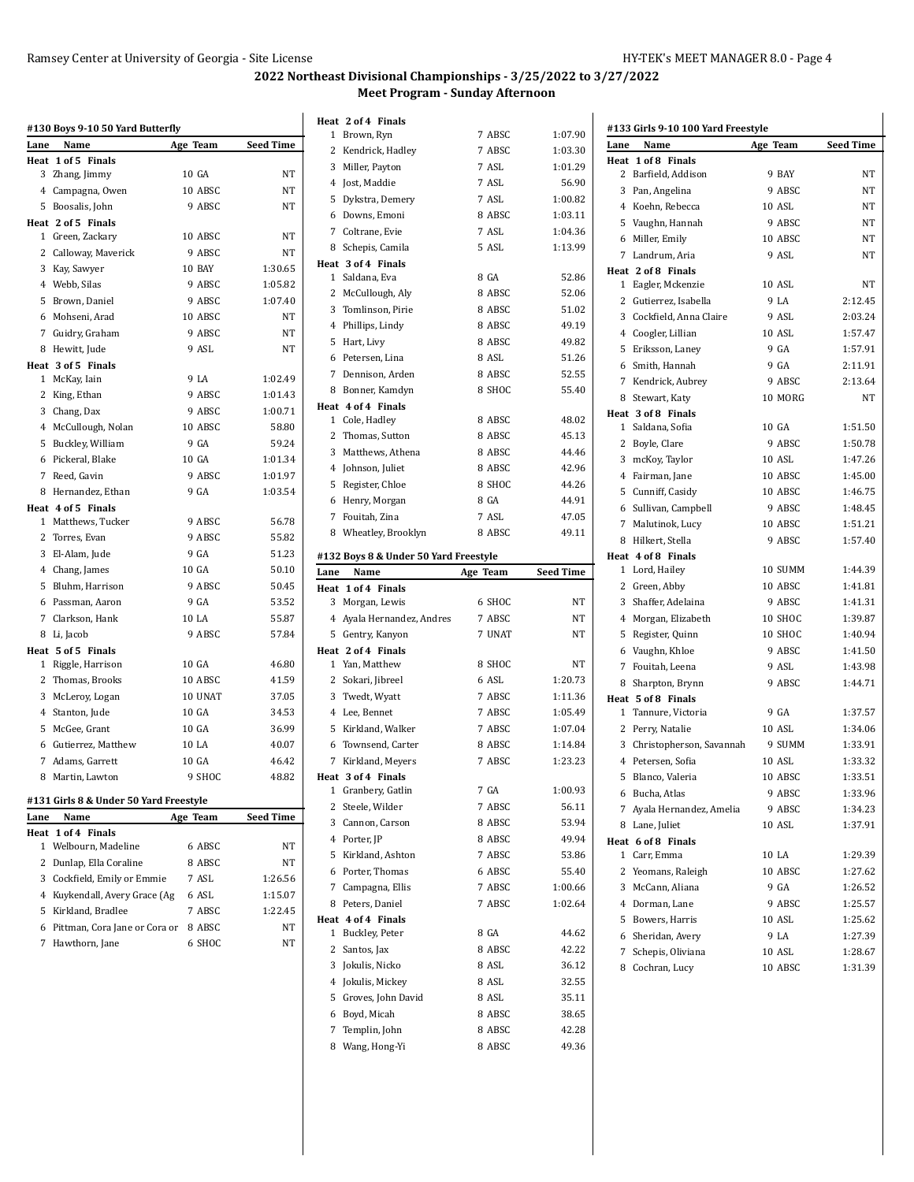## **2022 Northeast Divisional Championships - 3/25/2022 to 3/27/2022 Meet Program - Sunday Afternoon**

|              | #130 Boys 9-10 50 Yard Butterfly       |          |           |
|--------------|----------------------------------------|----------|-----------|
| Lane         | Name                                   | Age Team | Seed Time |
|              | Heat 1 of 5 Finals                     |          |           |
| 3            | Zhang, Jimmy                           | 10 GA    | NT        |
|              | 4 Campagna, Owen                       | 10 ABSC  | NT        |
|              | 5 Boosalis, John                       | 9 ABSC   | NT        |
|              | Heat 2 of 5 Finals                     |          |           |
|              | 1 Green, Zackary                       | 10 ABSC  | NT        |
|              | 2 Calloway, Maverick                   | 9 ABSC   | NT        |
|              | 3 Kay, Sawyer                          | 10 BAY   | 1:30.65   |
|              | 4 Webb, Silas                          | 9 ABSC   | 1:05.82   |
|              | 5 Brown, Daniel                        | 9 ABSC   | 1:07.40   |
|              | 6 Mohseni, Arad                        | 10 ABSC  | NT        |
|              | 7 Guidry, Graham                       | 9 ABSC   | NT        |
|              | 8 Hewitt, Jude                         | 9 ASL    | NT        |
|              | Heat 3 of 5 Finals                     |          |           |
|              | 1 McKay, Iain                          | 9 LA     | 1:02.49   |
|              | 2 King, Ethan                          | 9 ABSC   | 1:01.43   |
|              | 3 Chang, Dax                           | 9 ABSC   | 1:00.71   |
|              | 4 McCullough, Nolan                    | 10 ABSC  | 58.80     |
| 5            | Buckley, William                       | 9 GA     | 59.24     |
|              | 6 Pickeral, Blake                      | 10 GA    | 1:01.34   |
|              | 7 Reed, Gavin                          | 9 ABSC   | 1:01.97   |
|              | 8 Hernandez, Ethan                     | 9 GA     | 1:03.54   |
|              | Heat 4 of 5 Finals                     |          |           |
|              | 1 Matthews, Tucker                     | 9 ABSC   | 56.78     |
| $\mathbf{2}$ | Torres, Evan                           | 9 ABSC   | 55.82     |
|              | 3 El-Alam, Jude                        | 9 GA     | 51.23     |
|              | 4 Chang, James                         | 10 GA    | 50.10     |
| 5            | Bluhm, Harrison                        | 9 ABSC   | 50.45     |
|              | 6 Passman, Aaron                       | 9 GA     | 53.52     |
|              | 7 Clarkson, Hank                       | 10 LA    | 55.87     |
|              | 8 Li, Jacob                            | 9 ABSC   | 57.84     |
|              | Heat 5 of 5 Finals                     |          |           |
| $\mathbf{1}$ | Riggle, Harrison                       | 10 GA    | 46.80     |
| $\mathbf{2}$ | Thomas, Brooks                         | 10 ABSC  | 41.59     |
|              | 3 McLeroy, Logan                       | 10 UNAT  | 37.05     |
| 4            | Stanton, Jude                          | 10 GA    | 34.53     |
| 5            | McGee, Grant                           | 10 GA    | 36.99     |
|              | 6 Gutierrez, Matthew                   | 10 LA    | 40.07     |
|              | 7 Adams, Garrett                       | 10 GA    | 46.42     |
| 8            | Martin, Lawton                         | 9 SHOC   | 48.82     |
|              |                                        |          |           |
|              | #131 Girls 8 & Under 50 Yard Freestyle |          |           |
| Lane         | Name                                   | Age Team | Seed Time |
| Heat         | 1 of 4 Finals                          |          |           |
| 1            | Welbourn, Madeline                     | 6 ABSC   | ΝT        |
| 2            | Dunlap, Ella Coraline                  | 8 ABSC   | NΤ        |
| 3            | Cockfield, Emily or Emmie              | 7 ASL    | 1:26.56   |
| 4            | Kuykendall, Avery Grace (Ag            | 6 ASL    | 1:15.07   |
| 5            | Kirkland, Bradlee                      | 7 ABSC   | 1:22.45   |
| 6            | Pittman, Cora Jane or Cora or          | 8 ABSC   | NT        |
| 7            | Hawthorn, Jane                         | 6 SHOC   | NT        |

|              | Heat 2 of 4 Finals                    |                  |                  |
|--------------|---------------------------------------|------------------|------------------|
|              | 1 Brown, Ryn                          | 7 ABSC           | 1:07.90          |
|              | 2 Kendrick, Hadley                    | 7 ABSC           | 1:03.30          |
|              | 3 Miller, Payton                      | 7 ASL            | 1:01.29          |
|              | 4 Jost, Maddie                        | 7 ASL            | 56.90            |
|              | 5 Dykstra, Demery                     | 7 ASL            | 1:00.82          |
|              | 6 Downs, Emoni                        | 8 ABSC           | 1:03.11          |
|              | 7 Coltrane, Evie                      | 7 ASL            | 1:04.36          |
|              | 8 Schepis, Camila                     | 5 ASL            | 1:13.99          |
|              | Heat 3 of 4 Finals                    |                  |                  |
|              | 1 Saldana, Eva                        | 8 GA             | 52.86            |
|              | 2 McCullough, Aly                     | 8 ABSC           | 52.06            |
|              | 3 Tomlinson, Pirie                    | 8 ABSC           | 51.02            |
|              | 4 Phillips, Lindy                     | 8 ABSC           | 49.19            |
|              | 5 Hart, Livy                          | 8 ABSC           | 49.82            |
|              | 6 Petersen, Lina                      | 8 ASL            | 51.26            |
|              | 7 Dennison, Arden                     | 8 ABSC           | 52.55            |
|              | 8 Bonner, Kamdyn                      | 8 SHOC           | 55.40            |
|              | Heat 4 of 4 Finals                    |                  |                  |
|              | 1 Cole, Hadley                        | 8 ABSC           | 48.02            |
|              | 2 Thomas, Sutton                      | 8 ABSC           | 45.13            |
|              | 3 Matthews, Athena                    | 8 ABSC           | 44.46            |
|              | 4 Johnson, Juliet                     | 8 ABSC           | 42.96            |
|              | 5 Register, Chloe                     | 8 SHOC           | 44.26            |
|              | 6 Henry, Morgan                       | 8 GA             | 44.91            |
|              | 7 Fouitah, Zina                       | 7 ASL            | 47.05            |
|              | 8 Wheatley, Brooklyn                  | 8 ABSC           | 49.11            |
|              |                                       |                  |                  |
|              | #132 Boys 8 & Under 50 Yard Freestyle |                  |                  |
| Lane         | Name                                  | Age Team         | <b>Seed Time</b> |
|              |                                       |                  |                  |
| Heat         | 1 of 4 Finals                         |                  |                  |
|              | 3 Morgan, Lewis                       | 6 SHOC           | NT               |
|              | 4 Ayala Hernandez, Andres             | 7 ABSC           | NT               |
|              | 5 Gentry, Kanyon                      | 7 UNAT           | NT               |
|              | Heat 2 of 4 Finals                    |                  |                  |
|              | 1 Yan, Matthew                        | 8 SHOC           | NT               |
|              | 2 Sokari, Jibreel                     | 6 ASL            | 1:20.73          |
|              | 3 Twedt, Wyatt                        | 7 ABSC           | 1:11.36          |
|              | 4 Lee, Bennet                         | 7 ABSC           | 1:05.49          |
|              | 5 Kirkland, Walker                    | 7 ABSC           | 1:07.04          |
|              | 6 Townsend, Carter                    | 8 ABSC           | 1:14.84          |
|              | 7 Kirkland, Meyers                    | 7 ABSC           | 1:23.23          |
|              | Heat 3 of 4 Finals                    |                  |                  |
| 1            | Granbery, Gatlin                      | 7 GA             | 1:00.93          |
| 2            | Steele, Wilder                        | 7 ABSC           | 56.11            |
|              | 3 Cannon, Carson                      | 8 ABSC           | 53.94            |
|              | 4 Porter, JP                          | 8 ABSC           | 49.94            |
| 5            | Kirkland, Ashton                      | 7 ABSC           | 53.86            |
| 6            | Porter, Thomas                        | 6 ABSC           | 55.40            |
| 7            | Campagna, Ellis                       | 7 ABSC           | 1:00.66          |
| 8            | Peters, Daniel                        | 7 ABSC           | 1:02.64          |
|              | Heat 4 of 4 Finals                    |                  |                  |
| $\mathbf{1}$ | Buckley, Peter                        | 8 GA             | 44.62            |
|              | 2 Santos, Jax                         | 8 ABSC           | 42.22            |
| 3            | Jokulis, Nicko                        | 8 ASL            | 36.12            |
|              | 4 Jokulis, Mickey                     | 8 ASL            | 32.55            |
|              | 5 Groves, John David                  | 8 ASL            | 35.11            |
| 6            | Boyd, Micah                           | 8 ABSC           | 38.65            |
| 7            | Templin, John<br>8 Wang, Hong-Yi      | 8 ABSC<br>8 ABSC | 42.28<br>49.36   |

| Lane | Name                       | Age Team | <b>Seed Time</b> |
|------|----------------------------|----------|------------------|
|      | Heat 1 of 8 Finals         |          |                  |
|      | 2 Barfield, Addison        | 9 BAY    | NΤ               |
| 3    | Pan, Angelina              | 9 ABSC   | NT               |
|      | 4 Koehn, Rebecca           | 10 ASL   | NΤ               |
|      | 5 Vaughn, Hannah           | 9 ABSC   | NT               |
|      | 6 Miller, Emily            | 10 ABSC  | NT               |
|      | 7 Landrum, Aria            | 9 ASL    | NΤ               |
|      | Heat 2 of 8 Finals         |          |                  |
|      | 1 Eagler, Mckenzie         | 10 ASL   | NT               |
|      | 2 Gutierrez, Isabella      | 9 LA     | 2:12.45          |
|      | 3 Cockfield, Anna Claire   | 9 ASL    | 2:03.24          |
|      | 4 Coogler, Lillian         | 10 ASL   | 1:57.47          |
|      | 5 Eriksson, Laney          | 9 GA     | 1:57.91          |
|      |                            | 9 GA     | 2:11.91          |
|      | 6 Smith, Hannah            |          |                  |
|      | 7 Kendrick, Aubrey         | 9 ABSC   | 2:13.64          |
|      | 8 Stewart, Katy            | 10 MORG  | NT               |
|      | Heat 3 of 8 Finals         |          |                  |
|      | 1 Saldana, Sofia           | 10 GA    | 1:51.50          |
|      | 2 Boyle, Clare             | 9 ABSC   | 1:50.78          |
|      | 3 mcKoy, Taylor            | 10 ASL   | 1:47.26          |
|      | 4 Fairman, Jane            | 10 ABSC  | 1:45.00          |
|      | 5 Cunniff, Casidy          | 10 ABSC  | 1:46.75          |
|      | 6 Sullivan, Campbell       | 9 ABSC   | 1:48.45          |
|      | 7 Malutinok, Lucy          | 10 ABSC  | 1:51.21          |
|      | 8 Hilkert, Stella          | 9 ABSC   | 1:57.40          |
|      | Heat 4 of 8 Finals         |          |                  |
|      | 1 Lord, Hailey             | 10 SUMM  | 1:44.39          |
|      | 2 Green, Abby              | 10 ABSC  | 1:41.81          |
| 3    | Shaffer, Adelaina          | 9 ABSC   | 1:41.31          |
|      | 4 Morgan, Elizabeth        | 10 SHOC  | 1:39.87          |
|      | 5 Register, Quinn          | 10 SHOC  | 1:40.94          |
|      | 6 Vaughn, Khloe            | 9 ABSC   | 1:41.50          |
|      | 7 Fouitah, Leena           | 9 ASL    | 1:43.98          |
| 8    | Sharpton, Brynn            | 9 ABSC   | 1:44.71          |
|      | Heat 5 of 8 Finals         |          |                  |
|      | 1 Tannure, Victoria        | 9 GA     | 1:37.57          |
|      | 2 Perry, Natalie           | 10 ASL   | 1:34.06          |
|      | 3 Christopherson, Savannah | 9 SUMM   | 1:33.91          |
|      | 4 Petersen, Sofia          | 10 ASL   | 1:33.32          |
|      | 5 Blanco, Valeria          | 10 ABSC  | 1:33.51          |
|      |                            |          |                  |
|      | 6 Bucha, Atlas             | 9 ABSC   | 1:33.96          |
|      | 7 Ayala Hernandez, Amelia  | 9 ABSC   | 1:34.23          |
|      | 8 Lane, Juliet             | 10 ASL   | 1:37.91          |
|      | Heat 6 of 8 Finals         |          |                  |
|      | 1 Carr, Emma               | 10 LA    | 1:29.39          |
|      | 2 Yeomans, Raleigh         | 10 ABSC  | 1:27.62          |
|      | 3 McCann, Aliana           | 9 GA     | 1:26.52          |
|      | 4 Dorman, Lane             | 9 ABSC   | 1:25.57          |
|      | 5 Bowers, Harris           | 10 ASL   | 1:25.62          |
|      | 6 Sheridan, Avery          | 9 LA     | 1:27.39          |
|      | 7 Schepis, Oliviana        | 10 ASL   | 1:28.67          |
|      | 8 Cochran, Lucy            | 10 ABSC  | 1:31.39          |